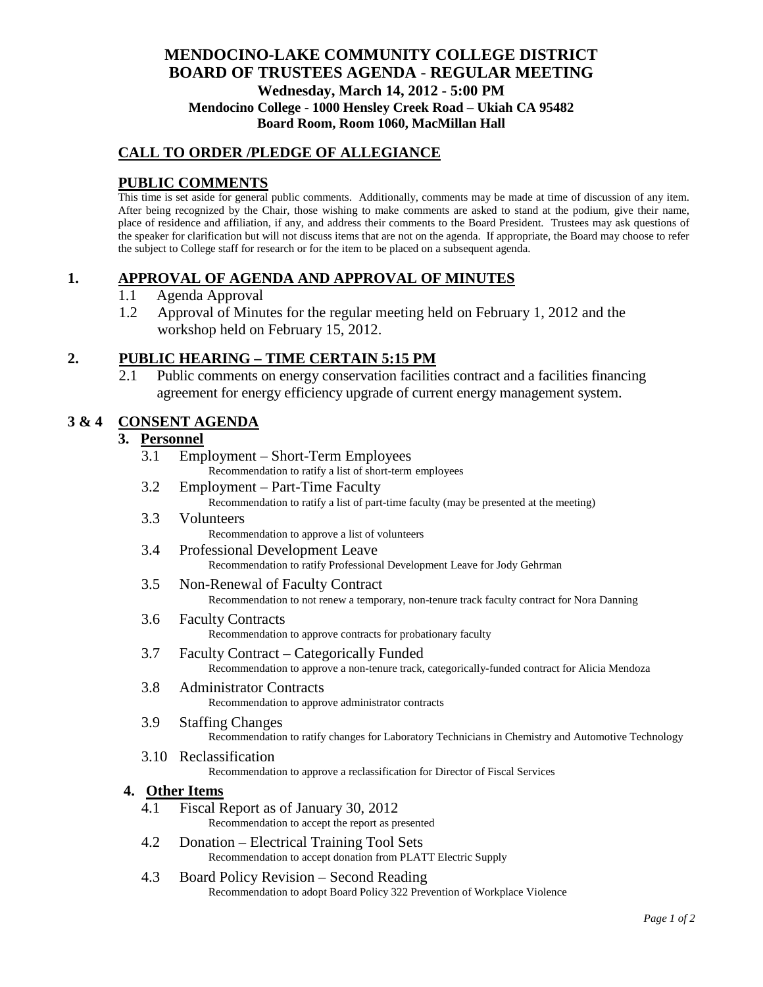## **MENDOCINO-LAKE COMMUNITY COLLEGE DISTRICT BOARD OF TRUSTEES AGENDA** - **REGULAR MEETING Wednesday, March 14, 2012 - 5:00 PM Mendocino College - 1000 Hensley Creek Road – Ukiah CA 95482 Board Room, Room 1060, MacMillan Hall**

## **CALL TO ORDER /PLEDGE OF ALLEGIANCE**

## **PUBLIC COMMENTS**

This time is set aside for general public comments. Additionally, comments may be made at time of discussion of any item. After being recognized by the Chair, those wishing to make comments are asked to stand at the podium, give their name, place of residence and affiliation, if any, and address their comments to the Board President. Trustees may ask questions of the speaker for clarification but will not discuss items that are not on the agenda. If appropriate, the Board may choose to refer the subject to College staff for research or for the item to be placed on a subsequent agenda.

### **1. APPROVAL OF AGENDA AND APPROVAL OF MINUTES**

- 1.1 Agenda Approval
- 1.2 Approval of Minutes for the regular meeting held on February 1, 2012 and the workshop held on February 15, 2012.

### **2. PUBLIC HEARING – TIME CERTAIN 5:15 PM**

2.1 Public comments on energy conservation facilities contract and a facilities financing agreement for energy efficiency upgrade of current energy management system.

### **3 & 4 CONSENT AGENDA**

### **3. Personnel**

- 3.1 Employment Short-Term Employees Recommendation to ratify a list of short-term employees
- 3.2 Employment Part-Time Faculty Recommendation to ratify a list of part-time faculty (may be presented at the meeting)
- 3.3 Volunteers Recommendation to approve a list of volunteers
- 3.4 Professional Development Leave Recommendation to ratify Professional Development Leave for Jody Gehrman
- 3.5 Non-Renewal of Faculty Contract

Recommendation to not renew a temporary, non-tenure track faculty contract for Nora Danning

- 3.6 Faculty Contracts Recommendation to approve contracts for probationary faculty
- 3.7 Faculty Contract Categorically Funded Recommendation to approve a non-tenure track, categorically-funded contract for Alicia Mendoza
- 3.8 Administrator Contracts Recommendation to approve administrator contracts
- 3.9 Staffing Changes Recommendation to ratify changes for Laboratory Technicians in Chemistry and Automotive Technology
- 3.10 Reclassification Recommendation to approve a reclassification for Director of Fiscal Services

#### **4. Other Items**

- 4.1 Fiscal Report as of January 30, 2012 Recommendation to accept the report as presented
- 4.2 Donation Electrical Training Tool Sets Recommendation to accept donation from PLATT Electric Supply
- 4.3 Board Policy Revision Second Reading Recommendation to adopt Board Policy 322 Prevention of Workplace Violence